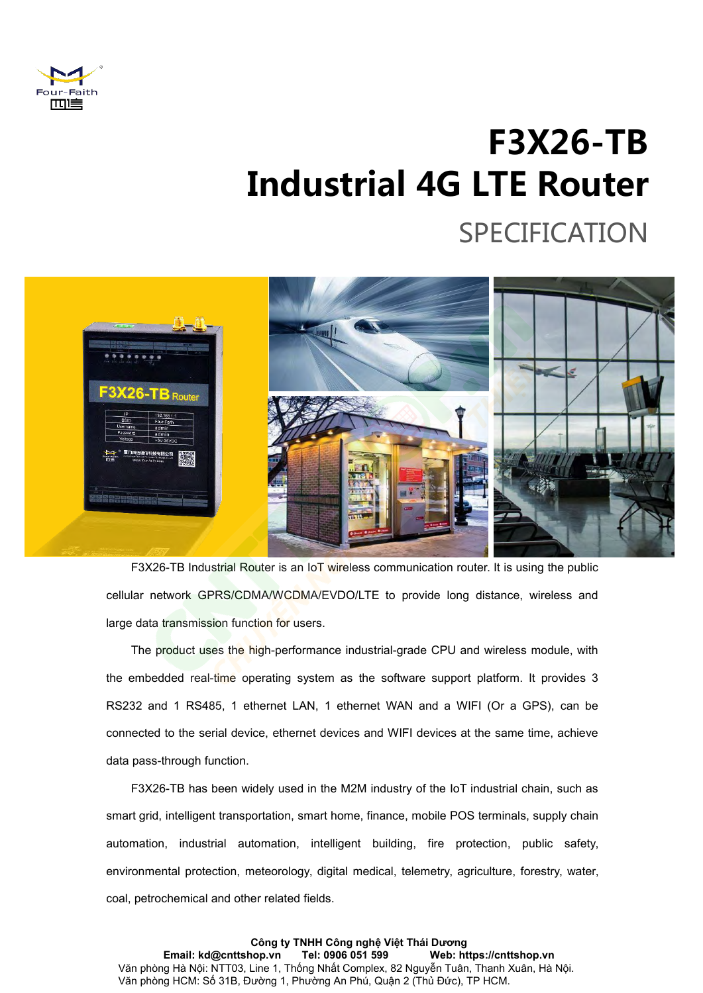

# **F3X26-TB F3X26-TB**<br>Industrial 4G LTE Router<br>SPECIFICATION SPECIFICATION



F3X26-TB Industrial Router is an IoT wireless communication router. It is using the public<br>cellular network GPRS/CDMA/WCDMA/EVDO/LTE to provide long distance, wireless and<br>large data transmission function for users.<br>The pr F3X26-TB Industrial Router is an IoT wireless communication router. It is using the public<br>cellular network GPRS/CDMA/WCDMA/EVDO/LTE to provide long distance, wireless and<br>large data transmission function for users.<br>The pr F3X26-TB Industrial Router is an IoT wireless communication router. It is using the public<br>cellular network GPRS/CDMA/WCDMA/EVDO/LTE to provide long distance, wireless and<br>large data transmission function for users.<br>The pr cellular network GPRS/CDMA/WCDMA/EVDO/LTE<br>large data transmission function for users.<br>The product uses the high-performance industr<br>the embedded real-time operating system as the<br>RS232 and 1 RS485, 1 ethernet LAN, 1 ethern of the product uses the high-performance industrial-grade CPU and wireless module, with<br>
embedded real-time operating system as the software support platform. It provides 3<br>
32 and 1 RS485, 1 ethernet LAN, 1 ethernet WAN a The product uses the high-performance industrial-grade CPU and wireless module, with<br>the embedded real-time operating system as the software support platform. It provides 3<br>RS232 and 1 RS485, 1 ethernet LAN, 1 ethernet WAN

the embedded real-time operating system as the software support platform. It provides 3<br>
RS232 and 1 RS485, 1 ethernet LAN, 1 ethernet WAN and a WIFI (Or a GPS), can be<br>
connected to the serial device, ethernet devices and RS232 and 1 RS485, 1 ethernet LAN, 1 ethernet WAN and a WIFI (Or a GPS), can be<br>connected to the serial device, ethernet devices and WIFI devices at the same time, achieve<br>data pass-through function.<br>F3X26-TB has been wide connected to the serial device, ethernet devices and WIFI devices at the data pass-through function.<br>
F3X26-TB has been widely used in the M2M industry of the IoT in<br>
smart grid, intelligent transportation, smart home, fin

**Công ty TNHH Công nghệ Việt Thái Dương Email: kd@cnttshop.vn Tel: 0906 051 599 Web: https://cnttshop.vn** Văn phòng Hà Nội: NTT03, Line 1, Thống Nhất Complex, 82 Nguyễn Tuân, Thanh Xuân, Hà Nội. Văn phòng HCM: Số 31B, Đường 1, Phường An Phú, Quận 2 (Thủ Đức), TP HCM.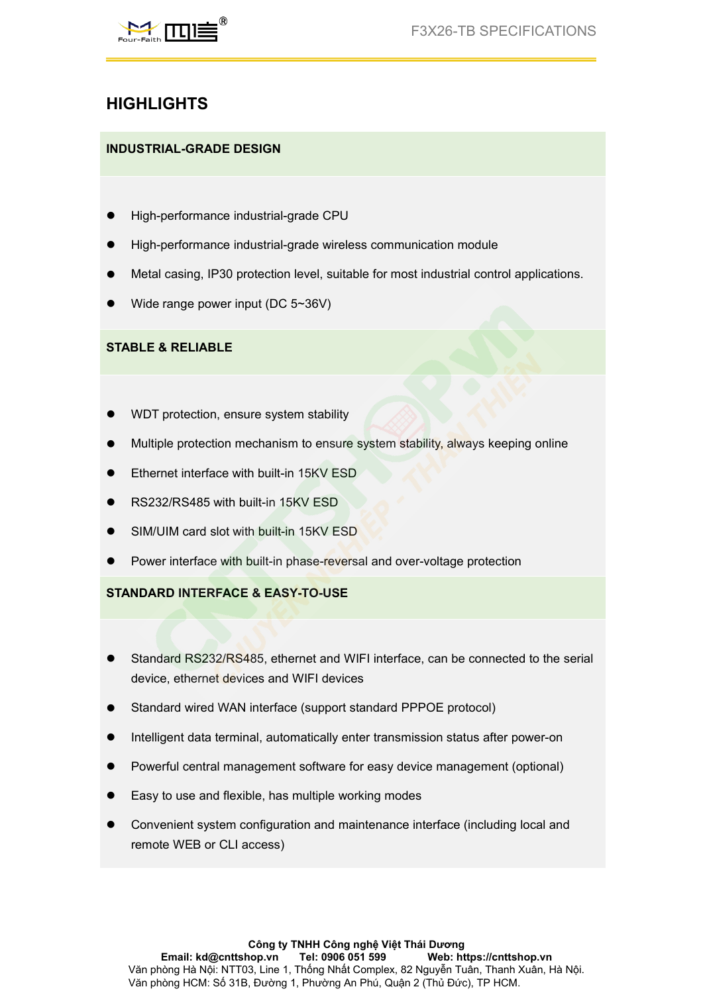

# **HIGHLIGHTS**

- 
- HIGHLIGHTS<br>
HIGHLIGHTS<br>
NDUSTRIAL-GRADE DESIGN<br>
 High-performance industrial-grade CPU<br>
 High-performance industrial-grade wireless communication module<br>
 Metal casing, IP30 protection level, suitable for most industria
- **HIGHLIGHTS**<br>
INDUSTRIAL-GRADE DESIGN<br>
 High-performance industrial-grade CPU<br>
 High-performance industrial-grade wireless communication module<br>
 Metal casing, IP30 protection level, suitable for most industrial contro MOUSTRIAL-GRADE DESIGN<br>
• High-performance industrial-grade CPU<br>
• High-performance industrial-grade control application module<br>
• Metal casing, IP30 protection level, suitable for most industrial control applications.<br>
• **INDUSTRIAL-GRADE DESIGN<br>● High-performance industrial-grade CPU<br>● High-performance industrial-grade wireless communication mo<br>● Metal casing, IP30 protection level, suitable for most industrial<br>● Wide range power input (** ■ High-performance industrial-grade CPU<br>
■ High-performance industrial-grade wireless cor<br>
■ Metal casing, IP30 protection level, suitable for<br>
■ Wide range power input (DC 5~36V)<br>
■ WDT protection, ensure system stabilit ■ High-performance industrial-grade wireless communication modul<br>
■ Metal casing, IP30 protection level, suitable for most industrial com<br>
■ Wide range power input (DC 5~36V)<br>
<br>
■ WDT protection, ensure system stability<br> ■ Metal casing, IP30 protection level, suitable for most industrial control applications.<br>
■ Wide range power input (DC 5~36V)<br>
■ WIDT protection, ensure system stability<br>
■ WIDT protection, ensure system stability<br>
■ Mul
- 

- 
- Wide range power input (DC 5~36V)<br>
STABLE & RELIABLE<br>
 WDT protection, ensure system stability<br>
 Multiple protection mechanism to ensure system stability, always keepin<br>
 Ethernet interface with built-in 15KV ESD<br>
 STABLE & RELIABLE<br>
■ WDT protection, ensure system stability<br>
■ Multiple protection mechanism to ensure system stability, always kee<br>
■ Ethernet interface with built-in 15KV ESD<br>
■ SIM/UIM card slot with built-in 15KV ESD ■ WDT protection, ensure system stability<br>
■ Multiple protection mechanism to ensure system stability, always keeping<br>
■ Ethernet interface with built-in 15KV ESD<br>
■ SIM/UIM card slot with built-in 15KV ESD<br>
■ Power inter ■ WDT protection, ensure system stability<br>
■ Multiple protection mechanism to ensure system stability, always keeping online<br>
■ Ethernet interface with built-in 15KV ESD<br>
■ SIM/UIM card slot with built-in 15KV ESD<br>
■ Powe ■ Multiple protection mechanism to ensure system stability, always kee<br>
■ Ethernet interface with built-in 15KV ESD<br>
■ RS232/RS485 with built-in 15KV ESD<br>
■ SIM/UIM card slot with built-in 15KV ESD<br>
■ Power interface with
- 
- 
- 
- 

- ■Standard RS232/RS485, with built-in 15KV ESD<br>
 SIM/UIM card slot with built-in 15KV ESD<br>
 Power interface with built-in phase-reversal and over-voltage protection<br>
STANDARD INTERFACE & EASY-TO-USE<br>
 Standard RS232/RS4 RS232/RS485 with built-in 15KV ESD<br>SIM/UIM card slot with built-in 15KV ESD<br>Power interface with built-in phase-reversal and over-voltage protecti<br>NDARD INTERFACE & EASY-TO-USE<br>Standard RS232/RS485, ethernet and WIFI inter ■ SIM/UIM card slot with built-in 15KV ESD<br>
■ Power interface with built-in phase-reversal and over-voltage protection<br>
STANDARD INTERFACE & EASY-TO-USE<br>
■ Standard RS232/RS485, ethernet and WIFI interface, can be connect ■ Power interface with built-in phase-reversal and over-voltage protection<br>
STANDARD INTERFACE & EASY-TO-USE<br>
■ Standard RS232/RS485, ethernet and WIFI interface, can be connected to the serial<br>
device, ethernet devices a STANDARD INTERFACE & EASY-TO-USE<br>
■ Standard RS232/RS485, ethernet and WIFI interface, can be connected to the serial<br>
device, ethernet devices and WIFI devices<br>
■ Standard wired WAN interface (support standard PPPOE prot ■ Standard RS232/RS485, ethernet and WIFI interface, can be connected to the s<br>device, ethernet devices and WIFI devices<br>
■ Standard wired WAN interface (support standard PPPOE protocol)<br>
■ Intelligent data terminal, auto • Standard RS232/RS485, ethernet and WIFI interface, can be connected to the serial<br>device, ethernet devices and WIFI devices<br>• Standard wired WAN interface (support standard PPPOE protocol)<br>• Intelligent data terminal, a
- 
- 
- 
- 
- remote the USE of the USE of the USE of the USE of the USE of devices<br>Standard wired WAN interface (support standard PPP<br>Intelligent data terminal, automatically enter transmiss<br>Powerful central management software for eas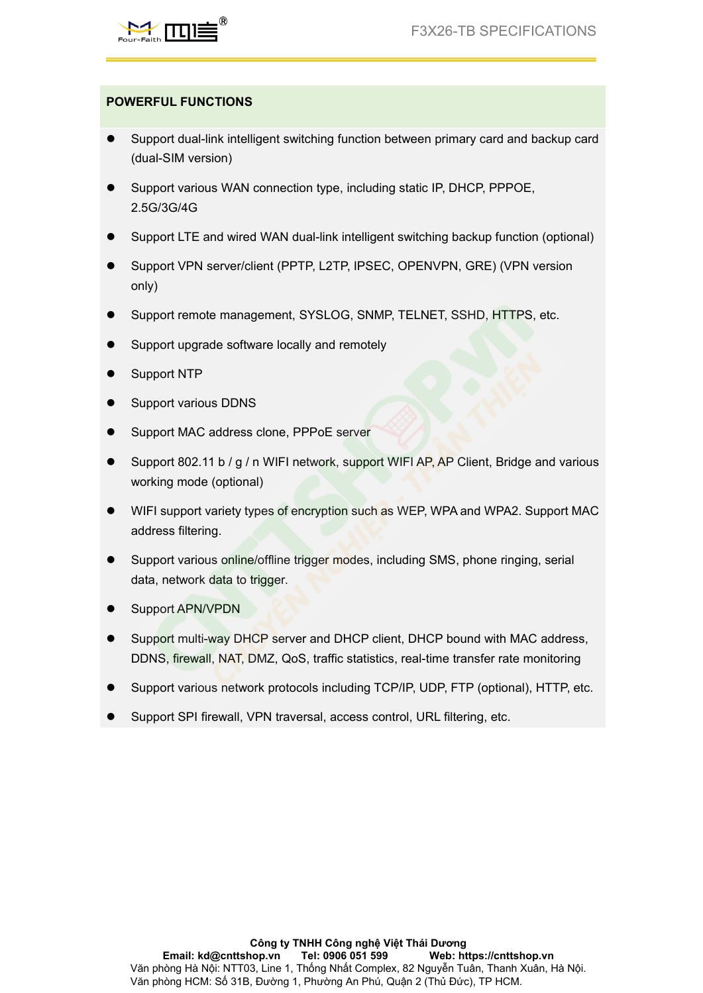

- **POWERFUL FUNCTIONS**<br>
Support dual-link intelligent switching function between (dual-SIM version) Support dual-link intelligent switching function between primary card and backup card<br>
Support dual-link intelligent switching function between primary card and backup card<br>
Support various WAN connection type, including s SUPPORT THE TRIM CONNECTIONS<br>
Support dual-link intelligent switching function between primary card and backup card<br>
(dual-SIM version)<br>
Support various WAN connection type, including static IP, DHCP, PPPOE,<br>
2.5G/3G/4G<br>
S Support dual-link intelligent switching function between primary card and backup card<br>
Support dual-SIM version)<br>
■ Support various WAN connection type, including static IP, DHCP, PPPOE,<br>
2.5G/3G/4G<br>
■ Support LTE and wir ■ Support dual-link intelligent switching function between primary card and backup card<br>
(dual-SIM version)<br>
■ Support various WAN connection type, including static IP, DHCP, PPPOE,<br>
2.5G/3G/4G<br>
■ Support LTE and wired WA
- WERFUL FUNCTIONS<br>
Support dual-link intelligent switching function<br>
(dual-SIM version)<br>
Support various WAN connection type, inclu<br>
2.5G/3G/4G 2.5G/3G/4G Support various WAN connection type, including static IP, DHCP, PPPO<br>
2.5G/3G/4G<br>
Support LTE and wired WAN dual-link intelligent switching backup functi<br>
Support VPN server/client (PPTP, L2TP, IPSEC, OPENVPN, GRE) (VPI<br>
o
- 
- only) ● Support dual-link intelligent switching function between primary card and backup card<br>
(dual-SIM version)<br>
● Support various WAN connection type, including static IP, DHCP, PPPOE,<br>
2.5G/3G/4G<br>
● Support LTE and wired WA Support LTE and wired WAN dual-link intervention that connects that connects they are<br>
Support LTE and wired WAN dual-link inte<br>
Support VPN server/client (PPTP, L2TP, IF<br>
only)<br>
Support remote management, SYSLOG, S<br>
Suppo • Support LTE and wired WAN dual-link intelligent sw<br>
• Support VPN server/client (PPTP, L2TP, IPSEC, OF<br>
• Only)<br>
• Support remote management, SYSLOG, SNMP, TE<br>
• Support upgrade software locally and remotely<br>
• Support
- 
- 
- 
- 
- 
- Support VPN server/client (PPTP, L2TP, IPSEC, OPENVPN, GRE) (VP<br>
only)<br>
 Support remote management, SYSLOG, SNMP, TELNET, SSHD, HTTP<br>
9 Support upgrade software locally and remotely<br>
 Support NTP<br>
 Support MAC addres only)<br>
Support remote management, SYSLOG, SNMP, TELNET, SSHD, HTTPS, etc.<br>
Support upgrade software locally and remotely<br>
Support NTP<br>
Support WAC address clone, PPPoE server<br>
Support 802.11 b / g / n WIFI network, support Support remote management, SYSLOG, SNMP,<br>Support upgrade software locally and remotely<br>Support NTP<br>Support MAC address clone, PPPoE server<br>Support 802.11 b / g / n WIFI network, support W<br>working mode (optional)<br>WIFI suppo ■ Support upgrade software locally and remotely<br>
■ Support NTP<br>
■ Support MAC address clone, PPPoE server<br>
■ Support 802.11 b / g / n WIFI network, support WIFI AP, AP Client, Bridge and various<br>
working mode (optional)<br> Support NTP<br>Support MAC address clone, PPPoE serve<br>Support MAC address clone, PPPoE serve<br>Support 802.11 b / g / n WIFI network, sup<br>working mode (optional)<br>WIFI support variety types of encryption su<br>address filtering.<br>Su ■ Support various DDNS<br>
■ Support 802.11 b / g / n WIFI network, support WIFI AP, AP Client, Bridge and various<br>
working mode (optional)<br>
■ WIFI support variety types of encryption such as WEP, WPA and WPA2. Support MAC<br> Support MAC address clone, PPPoE server<br>
Support 802.11 b / g / n WIFI network, support WIFI AP,<br>
working mode (optional)<br>
WIFI support variety types of encryption such as WEP, V<br>
address filtering.<br>
Support various online ■ Support MAC address clone, PPPoE server<br>
■ Support 802.11 b / g / n WIFI network, support WIF<br>
working mode (optional)<br>
■ WIFI support variety types of encryption such as W<br>
address filtering.<br>
■ Support various online/
- Support 802.11 b / g / n WIFI network, support WIFI AP, AP Client, Bridge and various<br>
working mode (optional)<br>
 WIFI support variety types of encryption such as WEP, WPA and WPA2. Support MAC<br>
address filtering.<br>
 Su working mode (optional)<br>
WIFI support variety types of encryption such as WEP, WPA and WPA2. Support MAC<br>
address filtering.<br>
Support various online/offline trigger modes, including SMS, phone ringing, serial<br>
data, networ
- 
- 
- WIFI support variety types of encryption such as WEP, WPA and WPA2. Support MAC<br>
address filtering.<br>
 Support various online/offline trigger modes, including SMS, phone ringing, serial<br>
data, network data to trigger.<br> Support various online/offline trigger modes, including SMS, phone ringing, serial<br>
data, network data to trigger.<br>
Support APN/VPDN<br>
Support multi-way DHCP server and DHCP client, DHCP bound with MAC address,<br>
DDNS, firew
- 
-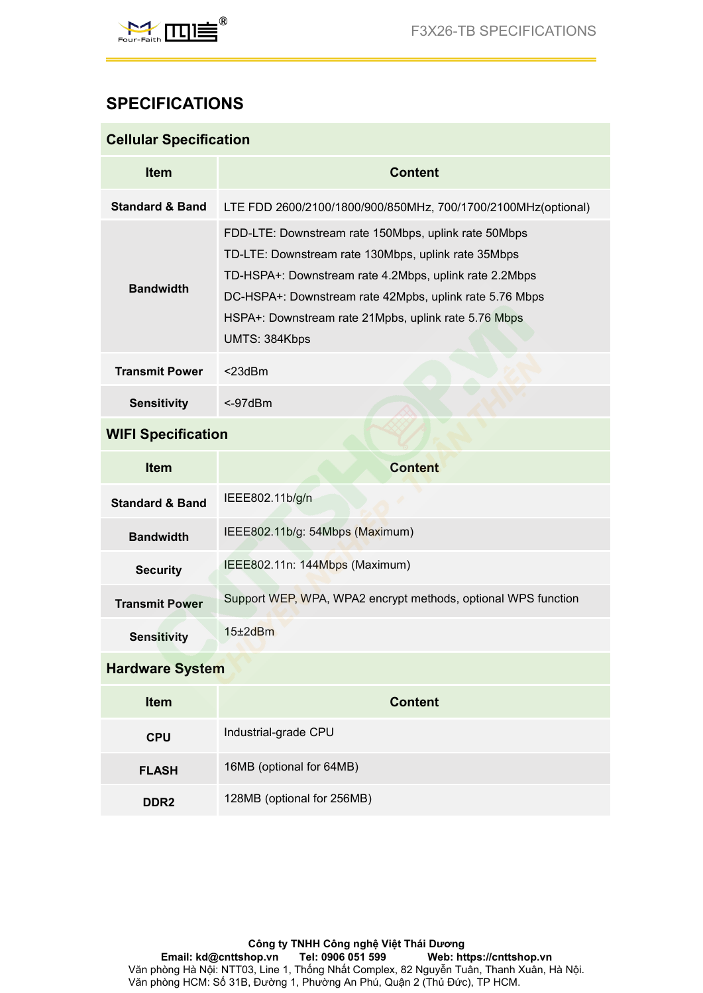

# **SPECIFICATIONS**

| <b>SPECIFICATIONS</b><br><b>Cellular Specification</b><br>Item<br><b>Content</b><br><b>Standard &amp; Band</b><br>LTE FDD 2600/2100/1800/900/850MHz, 700/1700/2100MHz(optional)<br>FDD-LTE: Downstream rate 150Mbps, uplink rate 50Mbps<br>TD-LTE: Downstream rate 130Mbps, uplink rate 35Mbps<br>TD-HSPA+: Downstream rate 4.2Mbps, uplink rate 2.2Mbps<br><b>Bandwidth</b><br>DC-HSPA+: Downstream rate 42Mpbs, uplink rate 5.76 Mbps<br>HSPA+: Downstream rate 21Mpbs, uplink rate 5.76 Mbps<br>UMTS: 384Kbps<br><b>Transmit Power</b><br>$<$ 23dBm<br><b>Sensitivity</b><br>$< -97$ d $Bm$<br><b>WIFI Specification</b><br>Item<br><b>Content</b> |
|-------------------------------------------------------------------------------------------------------------------------------------------------------------------------------------------------------------------------------------------------------------------------------------------------------------------------------------------------------------------------------------------------------------------------------------------------------------------------------------------------------------------------------------------------------------------------------------------------------------------------------------------------------|
|                                                                                                                                                                                                                                                                                                                                                                                                                                                                                                                                                                                                                                                       |
|                                                                                                                                                                                                                                                                                                                                                                                                                                                                                                                                                                                                                                                       |
|                                                                                                                                                                                                                                                                                                                                                                                                                                                                                                                                                                                                                                                       |
|                                                                                                                                                                                                                                                                                                                                                                                                                                                                                                                                                                                                                                                       |
|                                                                                                                                                                                                                                                                                                                                                                                                                                                                                                                                                                                                                                                       |
|                                                                                                                                                                                                                                                                                                                                                                                                                                                                                                                                                                                                                                                       |
|                                                                                                                                                                                                                                                                                                                                                                                                                                                                                                                                                                                                                                                       |
|                                                                                                                                                                                                                                                                                                                                                                                                                                                                                                                                                                                                                                                       |
|                                                                                                                                                                                                                                                                                                                                                                                                                                                                                                                                                                                                                                                       |
| IEEE802.11b/g/n<br><b>Standard &amp; Band</b>                                                                                                                                                                                                                                                                                                                                                                                                                                                                                                                                                                                                         |
| IEEE802.11b/g: 54Mbps (Maximum)<br><b>Bandwidth</b>                                                                                                                                                                                                                                                                                                                                                                                                                                                                                                                                                                                                   |
| IEEE802.11n: 144Mbps (Maximum)<br><b>Security</b>                                                                                                                                                                                                                                                                                                                                                                                                                                                                                                                                                                                                     |
| Support WEP, WPA, WPA2 encrypt methods, optional WPS function<br><b>Transmit Power</b>                                                                                                                                                                                                                                                                                                                                                                                                                                                                                                                                                                |
| $15\pm2$ dBm<br><b>Sensitivity</b>                                                                                                                                                                                                                                                                                                                                                                                                                                                                                                                                                                                                                    |
| <b>Hardware System</b>                                                                                                                                                                                                                                                                                                                                                                                                                                                                                                                                                                                                                                |
| Item<br><b>Content</b>                                                                                                                                                                                                                                                                                                                                                                                                                                                                                                                                                                                                                                |
| Industrial-grade CPU<br><b>CPU</b>                                                                                                                                                                                                                                                                                                                                                                                                                                                                                                                                                                                                                    |
|                                                                                                                                                                                                                                                                                                                                                                                                                                                                                                                                                                                                                                                       |
| 16MB (optional for 64MB)<br><b>FLASH</b>                                                                                                                                                                                                                                                                                                                                                                                                                                                                                                                                                                                                              |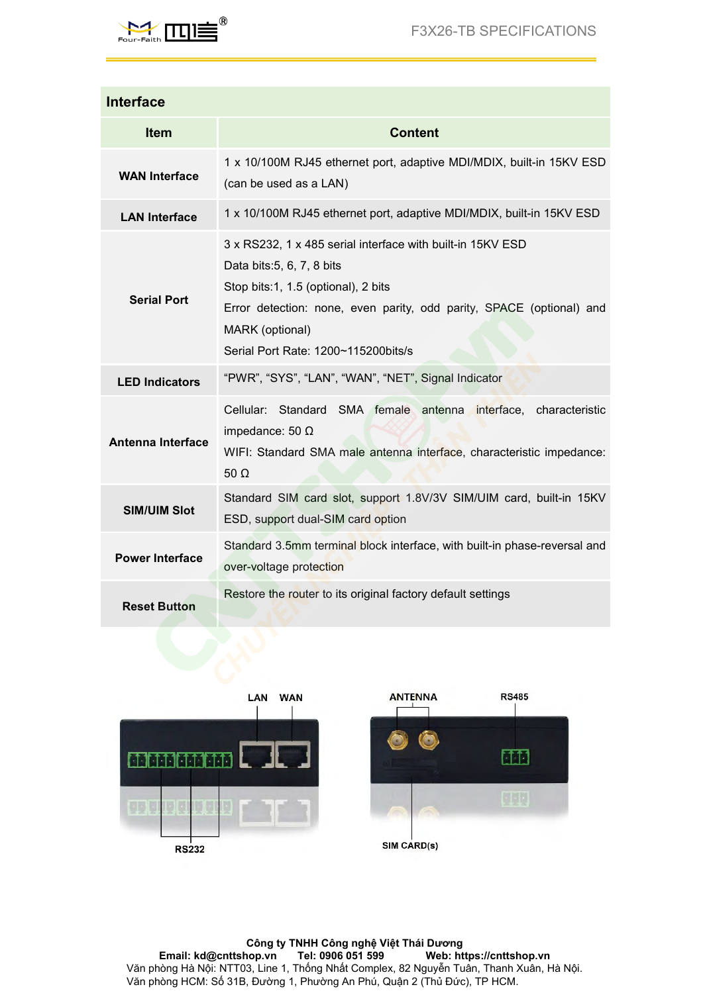

|                        | <b>F3X26-TB SPECIFICATIONS</b>                                                                                                                                                                                                                                    |
|------------------------|-------------------------------------------------------------------------------------------------------------------------------------------------------------------------------------------------------------------------------------------------------------------|
| <b>Interface</b>       |                                                                                                                                                                                                                                                                   |
| Item                   | <b>Content</b>                                                                                                                                                                                                                                                    |
| <b>WAN Interface</b>   | 1 x 10/100M RJ45 ethernet port, adaptive MDI/MDIX, built-in 15KV ESD<br>(can be used as a LAN)                                                                                                                                                                    |
| <b>LAN Interface</b>   | 1 x 10/100M RJ45 ethernet port, adaptive MDI/MDIX, built-in 15KV ESD                                                                                                                                                                                              |
| <b>Serial Port</b>     | 3 x RS232, 1 x 485 serial interface with built-in 15KV ESD<br>Data bits: 5, 6, 7, 8 bits<br>Stop bits:1, 1.5 (optional), 2 bits<br>Error detection: none, even parity, odd parity, SPACE (optional) and<br>MARK (optional)<br>Serial Port Rate: 1200~115200bits/s |
| <b>LED Indicators</b>  | "PWR", "SYS", "LAN", "WAN", "NET", Signal Indicator                                                                                                                                                                                                               |
| Antenna Interface      | Cellular: Standard SMA female antenna interface, characteristic<br>impedance: 50 $\Omega$<br>WIFI: Standard SMA male antenna interface, characteristic impedance:<br>$50 \Omega$                                                                                  |
| <b>SIM/UIM Slot</b>    | Standard SIM card slot, support 1.8V/3V SIM/UIM card, built-in 15KV<br>ESD, support dual-SIM card option                                                                                                                                                          |
| <b>Power Interface</b> | Standard 3.5mm terminal block interface, with built-in phase-reversal and<br>over-voltage protection                                                                                                                                                              |
| <b>Reset Button</b>    | Restore the router to its original factory default settings                                                                                                                                                                                                       |
|                        |                                                                                                                                                                                                                                                                   |



**Công ty TNHH Công nghệ Việt Thái Dương Email: kd@cnttshop.vn Tel: 0906 051 599 Web: https://cnttshop.vn** Văn phòng Hà Nội: NTT03, Line 1, Thống Nhất Complex, 82 Nguyễn Tuân, Thanh Xuân, Hà Nội. Văn phòng HCM: Số 31B, Đường 1, Phường An Phú, Quận 2 (Thủ Đức), TP HCM.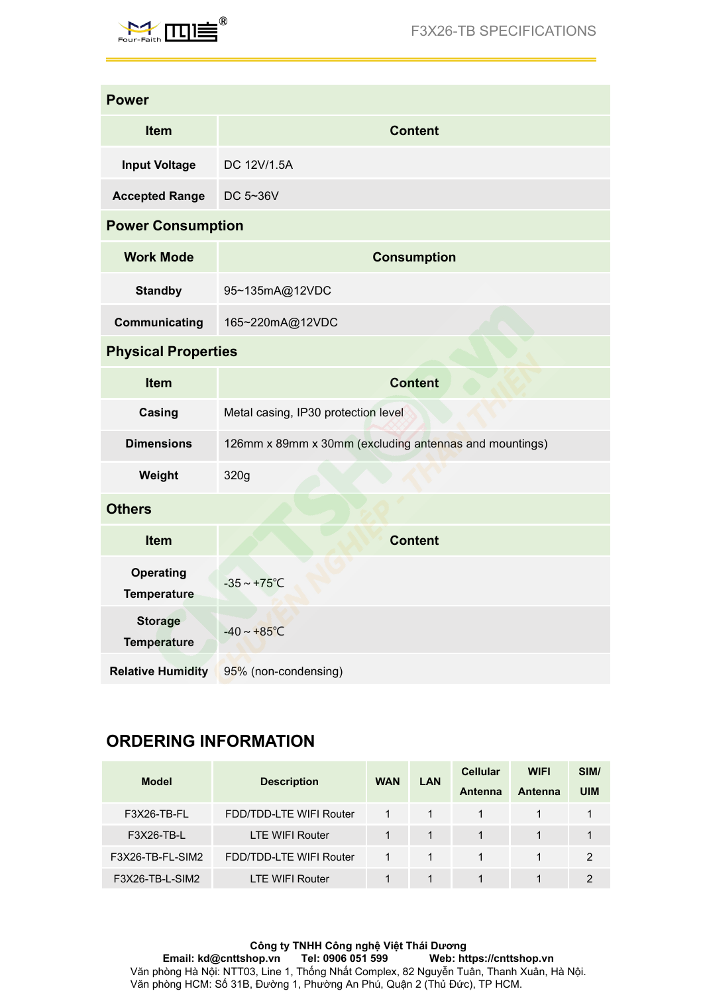

| $M$ $\prod$                     |                                                        |              |                    |                                   | <b>F3X26-TB SPECIFICATIONS</b> |                    |
|---------------------------------|--------------------------------------------------------|--------------|--------------------|-----------------------------------|--------------------------------|--------------------|
| <b>Power</b>                    |                                                        |              |                    |                                   |                                |                    |
| Item                            |                                                        |              | <b>Content</b>     |                                   |                                |                    |
| <b>Input Voltage</b>            | DC 12V/1.5A                                            |              |                    |                                   |                                |                    |
| <b>Accepted Range</b>           | DC 5~36V                                               |              |                    |                                   |                                |                    |
| <b>Power Consumption</b>        |                                                        |              |                    |                                   |                                |                    |
| <b>Work Mode</b>                |                                                        |              | <b>Consumption</b> |                                   |                                |                    |
| <b>Standby</b>                  | 95~135mA@12VDC                                         |              |                    |                                   |                                |                    |
| Communicating                   | 165~220mA@12VDC                                        |              |                    |                                   |                                |                    |
| <b>Physical Properties</b>      |                                                        |              |                    |                                   |                                |                    |
| Item                            |                                                        |              | <b>Content</b>     |                                   |                                |                    |
| Casing                          | Metal casing, IP30 protection level                    |              |                    |                                   |                                |                    |
| <b>Dimensions</b>               | 126mm x 89mm x 30mm (excluding antennas and mountings) |              |                    |                                   |                                |                    |
| Weight                          | 320g                                                   |              |                    |                                   |                                |                    |
| <b>Others</b>                   |                                                        |              |                    |                                   |                                |                    |
| Item                            |                                                        |              | <b>Content</b>     |                                   |                                |                    |
| <b>Operating</b><br>Temperature | $-35 \sim +75^{\circ}C$                                |              |                    |                                   |                                |                    |
| <b>Storage</b><br>Temperature   | $-40 \sim +85^{\circ}C$                                |              |                    |                                   |                                |                    |
| <b>Relative Humidity</b>        | 95% (non-condensing)                                   |              |                    |                                   |                                |                    |
| <b>ORDERING INFORMATION</b>     |                                                        |              |                    |                                   |                                |                    |
| <b>Model</b>                    | <b>Description</b>                                     | <b>WAN</b>   | LAN                | <b>Cellular</b><br><b>Antenna</b> | <b>WIFI</b><br>Antenna         | SIM/<br><b>UIM</b> |
|                                 |                                                        |              |                    |                                   |                                |                    |
| F3X26-TB-FL<br>E3Y26_TR_I       | FDD/TDD-LTE WIFI Router<br><b>I TE WIEL Pouter</b>     | $\mathbf{1}$ | $\mathbf{1}$       | $\mathbf{1}$                      | $\mathbf{1}$                   | $\mathbf{1}$       |

| <b>Relative Humidity</b>    | 95% (non-condensing)    |              |              |                 |                |                |
|-----------------------------|-------------------------|--------------|--------------|-----------------|----------------|----------------|
|                             |                         |              |              |                 |                |                |
| <b>ORDERING INFORMATION</b> |                         |              |              |                 |                |                |
| <b>Model</b>                | <b>Description</b>      | <b>WAN</b>   | <b>LAN</b>   | <b>Cellular</b> | <b>WIFI</b>    | SIM/           |
|                             |                         |              |              | <b>Antenna</b>  | <b>Antenna</b> | <b>UIM</b>     |
| F3X26-TB-FL                 | FDD/TDD-LTE WIFI Router | $\mathbf{1}$ | $\mathbf{1}$ | $\mathbf{1}$    | $\mathbf{1}$   | 1              |
| F3X26-TB-L                  | LTE WIFI Router         | $\mathbf{1}$ | $\mathbf{1}$ | $\mathbf{1}$    | $\mathbf{1}$   | 1              |
| F3X26-TB-FL-SIM2            | FDD/TDD-LTE WIFI Router | $\mathbf{1}$ | $\mathbf{1}$ | $\mathbf{1}$    | $\mathbf{1}$   | 2              |
| F3X26-TB-L-SIM2             | <b>LTE WIFI Router</b>  | 1            | $\mathbf{1}$ | 1               | $\mathbf 1$    | $\overline{2}$ |
|                             |                         |              |              |                 |                |                |
|                             |                         |              |              |                 |                |                |

**Công ty TNHH Công nghệ Việt Thái Dương Email: kd@cnttshop.vn Tel: 0906 051 599 Web: https://cnttshop.vn** Văn phòng Hà Nội: NTT03, Line 1, Thống Nhất Complex, 82 Nguyễn Tuân, Thanh Xuân, Hà Nội. Văn phòng HCM: Số 31B, Đường 1, Phường An Phú, Quận 2 (Thủ Đức), TP HCM.